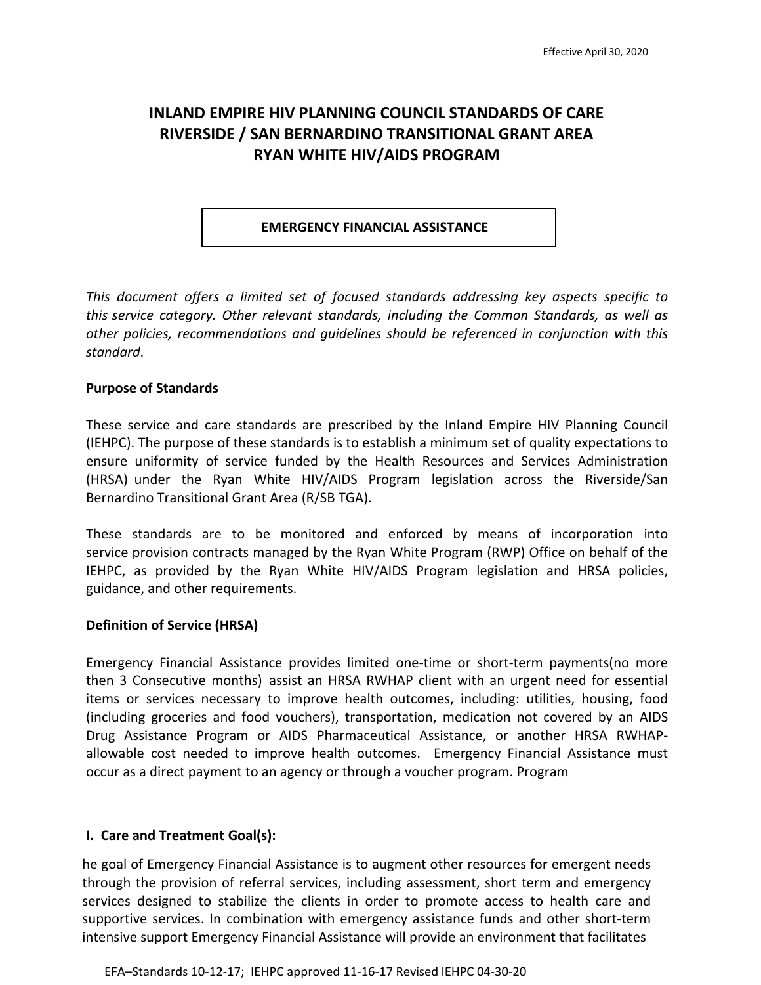# **INLAND EMPIRE HIV PLANNING COUNCIL STANDARDS OF CARE RIVERSIDE / SAN BERNARDINO TRANSITIONAL GRANT AREA RYAN WHITE HIV/AIDS PROGRAM**

#### **EMERGENCY FINANCIAL ASSISTANCE**

*This document offers a limited set of focused standards addressing key aspects specific to this service category. Other relevant standards, including the Common Standards, as well as other policies, recommendations and guidelines should be referenced in conjunction with this standard*.

#### **Purpose of Standards**

These service and care standards are prescribed by the Inland Empire HIV Planning Council (IEHPC). The purpose of these standards is to establish a minimum set of quality expectations to ensure uniformity of service funded by the Health Resources and Services Administration (HRSA) under the Ryan White HIV/AIDS Program legislation across the Riverside/San Bernardino Transitional Grant Area (R/SB TGA).

These standards are to be monitored and enforced by means of incorporation into service provision contracts managed by the Ryan White Program (RWP) Office on behalf of the IEHPC, as provided by the Ryan White HIV/AIDS Program legislation and HRSA policies, guidance, and other requirements.

#### **Definition of Service (HRSA)**

Emergency Financial Assistance provides limited one-time or short-term payments(no more then 3 Consecutive months) assist an HRSA RWHAP client with an urgent need for essential items or services necessary to improve health outcomes, including: utilities, housing, food (including groceries and food vouchers), transportation, medication not covered by an AIDS Drug Assistance Program or AIDS Pharmaceutical Assistance, or another HRSA RWHAPallowable cost needed to improve health outcomes. Emergency Financial Assistance must occur as a direct payment to an agency or through a voucher program. Program

#### **I. Care and Treatment Goal(s):**

he goal of Emergency Financial Assistance is to augment other resources for emergent needs through the provision of referral services, including assessment, short term and emergency services designed to stabilize the clients in order to promote access to health care and supportive services. In combination with emergency assistance funds and other short-term intensive support Emergency Financial Assistance will provide an environment that facilitates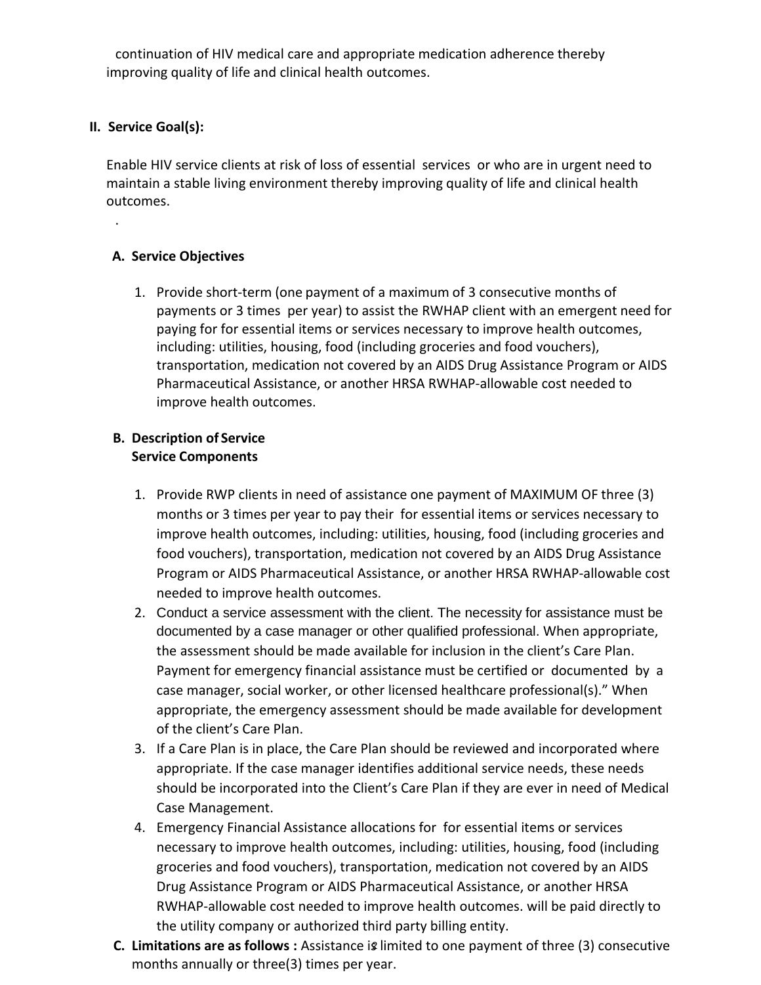continuation of HIV medical care and appropriate medication adherence thereby improving quality of life and clinical health outcomes.

## **II. Service Goal(s):**

.

Enable HIV service clients at risk of loss of essential services or who are in urgent need to maintain a stable living environment thereby improving quality of life and clinical health outcomes.

## **A. Service Objectives**

1. Provide short-term (one payment of a maximum of 3 consecutive months of payments or 3 times per year) to assist the RWHAP client with an emergent need for paying for for essential items or services necessary to improve health outcomes, including: utilities, housing, food (including groceries and food vouchers), transportation, medication not covered by an AIDS Drug Assistance Program or AIDS Pharmaceutical Assistance, or another HRSA RWHAP-allowable cost needed to improve health outcomes.

### **B. Description of Service Service Components**

- 1. Provide RWP clients in need of assistance one payment of MAXIMUM OF three (3) months or 3 times per year to pay their for essential items or services necessary to improve health outcomes, including: utilities, housing, food (including groceries and food vouchers), transportation, medication not covered by an AIDS Drug Assistance Program or AIDS Pharmaceutical Assistance, or another HRSA RWHAP-allowable cost needed to improve health outcomes.
- 2. Conduct a service assessment with the client. The necessity for assistance must be documented by a case manager or other qualified professional. When appropriate, the assessment should be made available for inclusion in the client's Care Plan. Payment for emergency financial assistance must be certified or documented by a case manager, social worker, or other licensed healthcare professional(s)." When appropriate, the emergency assessment should be made available for development of the client's Care Plan.
- 3. If a Care Plan is in place, the Care Plan should be reviewed and incorporated where appropriate. If the case manager identifies additional service needs, these needs should be incorporated into the Client's Care Plan if they are ever in need of Medical Case Management.
- 4. Emergency Financial Assistance allocations for for essential items or services necessary to improve health outcomes, including: utilities, housing, food (including groceries and food vouchers), transportation, medication not covered by an AIDS Drug Assistance Program or AIDS Pharmaceutical Assistance, or another HRSA RWHAP-allowable cost needed to improve health outcomes. will be paid directly to the utility company or authorized third party billing entity.
- 2 **C. Limitations are as follows :** Assistance is limited to one payment of three (3) consecutive months annually or three(3) times per year.